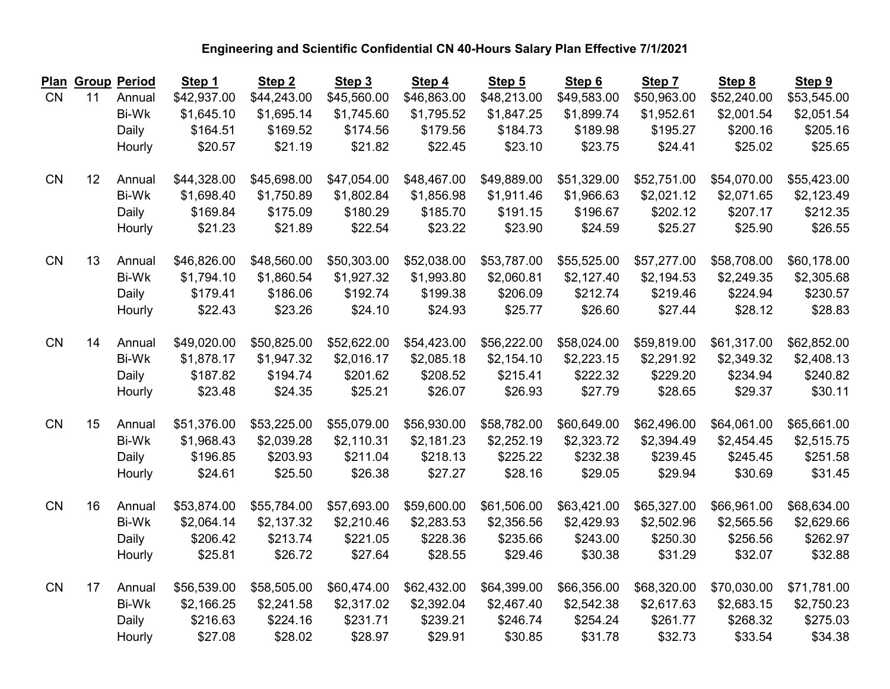| <b>Plan</b> |    | <b>Group Period</b> | Step 1      | Step <sub>2</sub> | Step 3      | Step 4      | Step 5      | Step 6      | Step 7      | Step 8      | Step 9      |
|-------------|----|---------------------|-------------|-------------------|-------------|-------------|-------------|-------------|-------------|-------------|-------------|
| <b>CN</b>   | 11 | Annual              | \$42,937.00 | \$44,243.00       | \$45,560.00 | \$46,863.00 | \$48,213.00 | \$49,583.00 | \$50,963.00 | \$52,240.00 | \$53,545.00 |
|             |    | <b>Bi-Wk</b>        | \$1,645.10  | \$1,695.14        | \$1,745.60  | \$1,795.52  | \$1,847.25  | \$1,899.74  | \$1,952.61  | \$2,001.54  | \$2,051.54  |
|             |    | Daily               | \$164.51    | \$169.52          | \$174.56    | \$179.56    | \$184.73    | \$189.98    | \$195.27    | \$200.16    | \$205.16    |
|             |    | Hourly              | \$20.57     | \$21.19           | \$21.82     | \$22.45     | \$23.10     | \$23.75     | \$24.41     | \$25.02     | \$25.65     |
| <b>CN</b>   | 12 | Annual              | \$44,328.00 | \$45,698.00       | \$47,054.00 | \$48,467.00 | \$49,889.00 | \$51,329.00 | \$52,751.00 | \$54,070.00 | \$55,423.00 |
|             |    | Bi-Wk               | \$1,698.40  | \$1,750.89        | \$1,802.84  | \$1,856.98  | \$1,911.46  | \$1,966.63  | \$2,021.12  | \$2,071.65  | \$2,123.49  |
|             |    | Daily               | \$169.84    | \$175.09          | \$180.29    | \$185.70    | \$191.15    | \$196.67    | \$202.12    | \$207.17    | \$212.35    |
|             |    | Hourly              | \$21.23     | \$21.89           | \$22.54     | \$23.22     | \$23.90     | \$24.59     | \$25.27     | \$25.90     | \$26.55     |
| CN          | 13 | Annual              | \$46,826.00 | \$48,560.00       | \$50,303.00 | \$52,038.00 | \$53,787.00 | \$55,525.00 | \$57,277.00 | \$58,708.00 | \$60,178.00 |
|             |    | Bi-Wk               | \$1,794.10  | \$1,860.54        | \$1,927.32  | \$1,993.80  | \$2,060.81  | \$2,127.40  | \$2,194.53  | \$2,249.35  | \$2,305.68  |
|             |    | Daily               | \$179.41    | \$186.06          | \$192.74    | \$199.38    | \$206.09    | \$212.74    | \$219.46    | \$224.94    | \$230.57    |
|             |    | Hourly              | \$22.43     | \$23.26           | \$24.10     | \$24.93     | \$25.77     | \$26.60     | \$27.44     | \$28.12     | \$28.83     |
| CN          | 14 | Annual              | \$49,020.00 | \$50,825.00       | \$52,622.00 | \$54,423.00 | \$56,222.00 | \$58,024.00 | \$59,819.00 | \$61,317.00 | \$62,852.00 |
|             |    | Bi-Wk               | \$1,878.17  | \$1,947.32        | \$2,016.17  | \$2,085.18  | \$2,154.10  | \$2,223.15  | \$2,291.92  | \$2,349.32  | \$2,408.13  |
|             |    | Daily               | \$187.82    | \$194.74          | \$201.62    | \$208.52    | \$215.41    | \$222.32    | \$229.20    | \$234.94    | \$240.82    |
|             |    | Hourly              | \$23.48     | \$24.35           | \$25.21     | \$26.07     | \$26.93     | \$27.79     | \$28.65     | \$29.37     | \$30.11     |
| <b>CN</b>   | 15 | Annual              | \$51,376.00 | \$53,225.00       | \$55,079.00 | \$56,930.00 | \$58,782.00 | \$60,649.00 | \$62,496.00 | \$64,061.00 | \$65,661.00 |
|             |    | <b>Bi-Wk</b>        | \$1,968.43  | \$2,039.28        | \$2,110.31  | \$2,181.23  | \$2,252.19  | \$2,323.72  | \$2,394.49  | \$2,454.45  | \$2,515.75  |
|             |    | Daily               | \$196.85    | \$203.93          | \$211.04    | \$218.13    | \$225.22    | \$232.38    | \$239.45    | \$245.45    | \$251.58    |
|             |    | Hourly              | \$24.61     | \$25.50           | \$26.38     | \$27.27     | \$28.16     | \$29.05     | \$29.94     | \$30.69     | \$31.45     |
| CN          | 16 | Annual              | \$53,874.00 | \$55,784.00       | \$57,693.00 | \$59,600.00 | \$61,506.00 | \$63,421.00 | \$65,327.00 | \$66,961.00 | \$68,634.00 |
|             |    | <b>Bi-Wk</b>        | \$2,064.14  | \$2,137.32        | \$2,210.46  | \$2,283.53  | \$2,356.56  | \$2,429.93  | \$2,502.96  | \$2,565.56  | \$2,629.66  |
|             |    | Daily               | \$206.42    | \$213.74          | \$221.05    | \$228.36    | \$235.66    | \$243.00    | \$250.30    | \$256.56    | \$262.97    |
|             |    | Hourly              | \$25.81     | \$26.72           | \$27.64     | \$28.55     | \$29.46     | \$30.38     | \$31.29     | \$32.07     | \$32.88     |
| <b>CN</b>   | 17 | Annual              | \$56,539.00 | \$58,505.00       | \$60,474.00 | \$62,432.00 | \$64,399.00 | \$66,356.00 | \$68,320.00 | \$70,030.00 | \$71,781.00 |
|             |    | <b>Bi-Wk</b>        | \$2,166.25  | \$2,241.58        | \$2,317.02  | \$2,392.04  | \$2,467.40  | \$2,542.38  | \$2,617.63  | \$2,683.15  | \$2,750.23  |
|             |    | Daily               | \$216.63    | \$224.16          | \$231.71    | \$239.21    | \$246.74    | \$254.24    | \$261.77    | \$268.32    | \$275.03    |
|             |    | Hourly              | \$27.08     | \$28.02           | \$28.97     | \$29.91     | \$30.85     | \$31.78     | \$32.73     | \$33.54     | \$34.38     |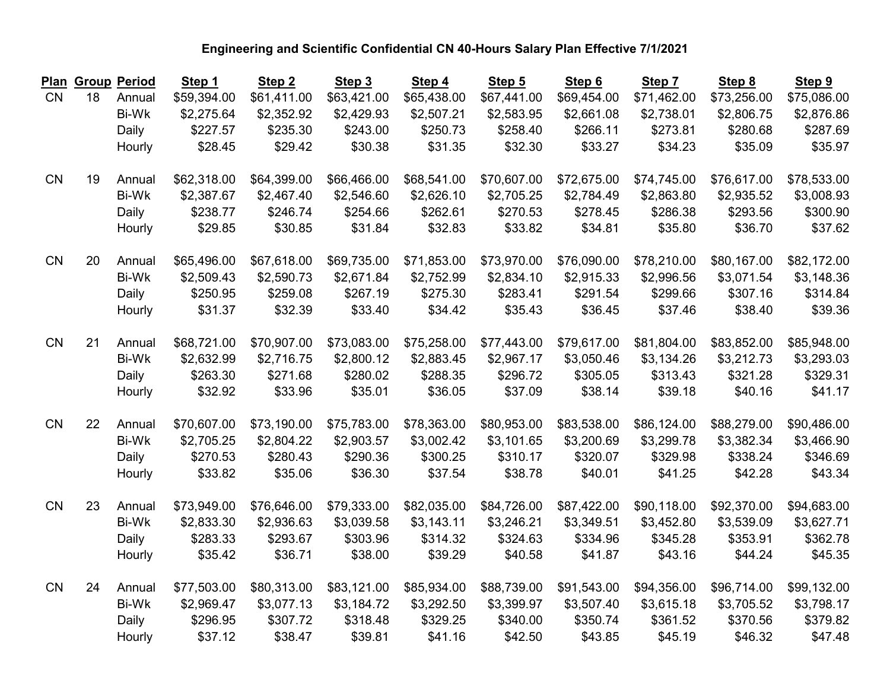| <u>Plan</u> |    | <b>Group Period</b> | Step 1      | Step <sub>2</sub> | Step 3      | Step 4      | Step 5      | Step 6      | Step 7      | Step 8      | Step 9      |
|-------------|----|---------------------|-------------|-------------------|-------------|-------------|-------------|-------------|-------------|-------------|-------------|
| <b>CN</b>   | 18 | Annual              | \$59,394.00 | \$61,411.00       | \$63,421.00 | \$65,438.00 | \$67,441.00 | \$69,454.00 | \$71,462.00 | \$73,256.00 | \$75,086.00 |
|             |    | <b>Bi-Wk</b>        | \$2,275.64  | \$2,352.92        | \$2,429.93  | \$2,507.21  | \$2,583.95  | \$2,661.08  | \$2,738.01  | \$2,806.75  | \$2,876.86  |
|             |    | Daily               | \$227.57    | \$235.30          | \$243.00    | \$250.73    | \$258.40    | \$266.11    | \$273.81    | \$280.68    | \$287.69    |
|             |    | Hourly              | \$28.45     | \$29.42           | \$30.38     | \$31.35     | \$32.30     | \$33.27     | \$34.23     | \$35.09     | \$35.97     |
| <b>CN</b>   | 19 | Annual              | \$62,318.00 | \$64,399.00       | \$66,466.00 | \$68,541.00 | \$70,607.00 | \$72,675.00 | \$74,745.00 | \$76,617.00 | \$78,533.00 |
|             |    | Bi-Wk               | \$2,387.67  | \$2,467.40        | \$2,546.60  | \$2,626.10  | \$2,705.25  | \$2,784.49  | \$2,863.80  | \$2,935.52  | \$3,008.93  |
|             |    | Daily               | \$238.77    | \$246.74          | \$254.66    | \$262.61    | \$270.53    | \$278.45    | \$286.38    | \$293.56    | \$300.90    |
|             |    | Hourly              | \$29.85     | \$30.85           | \$31.84     | \$32.83     | \$33.82     | \$34.81     | \$35.80     | \$36.70     | \$37.62     |
| CN          | 20 | Annual              | \$65,496.00 | \$67,618.00       | \$69,735.00 | \$71,853.00 | \$73,970.00 | \$76,090.00 | \$78,210.00 | \$80,167.00 | \$82,172.00 |
|             |    | Bi-Wk               | \$2,509.43  | \$2,590.73        | \$2,671.84  | \$2,752.99  | \$2,834.10  | \$2,915.33  | \$2,996.56  | \$3,071.54  | \$3,148.36  |
|             |    | Daily               | \$250.95    | \$259.08          | \$267.19    | \$275.30    | \$283.41    | \$291.54    | \$299.66    | \$307.16    | \$314.84    |
|             |    | Hourly              | \$31.37     | \$32.39           | \$33.40     | \$34.42     | \$35.43     | \$36.45     | \$37.46     | \$38.40     | \$39.36     |
| CN          | 21 | Annual              | \$68,721.00 | \$70,907.00       | \$73,083.00 | \$75,258.00 | \$77,443.00 | \$79,617.00 | \$81,804.00 | \$83,852.00 | \$85,948.00 |
|             |    | Bi-Wk               | \$2,632.99  | \$2,716.75        | \$2,800.12  | \$2,883.45  | \$2,967.17  | \$3,050.46  | \$3,134.26  | \$3,212.73  | \$3,293.03  |
|             |    | Daily               | \$263.30    | \$271.68          | \$280.02    | \$288.35    | \$296.72    | \$305.05    | \$313.43    | \$321.28    | \$329.31    |
|             |    | Hourly              | \$32.92     | \$33.96           | \$35.01     | \$36.05     | \$37.09     | \$38.14     | \$39.18     | \$40.16     | \$41.17     |
| <b>CN</b>   | 22 | Annual              | \$70,607.00 | \$73,190.00       | \$75,783.00 | \$78,363.00 | \$80,953.00 | \$83,538.00 | \$86,124.00 | \$88,279.00 | \$90,486.00 |
|             |    | Bi-Wk               | \$2,705.25  | \$2,804.22        | \$2,903.57  | \$3,002.42  | \$3,101.65  | \$3,200.69  | \$3,299.78  | \$3,382.34  | \$3,466.90  |
|             |    | Daily               | \$270.53    | \$280.43          | \$290.36    | \$300.25    | \$310.17    | \$320.07    | \$329.98    | \$338.24    | \$346.69    |
|             |    | Hourly              | \$33.82     | \$35.06           | \$36.30     | \$37.54     | \$38.78     | \$40.01     | \$41.25     | \$42.28     | \$43.34     |
| CN          | 23 | Annual              | \$73,949.00 | \$76,646.00       | \$79,333.00 | \$82,035.00 | \$84,726.00 | \$87,422.00 | \$90,118.00 | \$92,370.00 | \$94,683.00 |
|             |    | <b>Bi-Wk</b>        | \$2,833.30  | \$2,936.63        | \$3,039.58  | \$3,143.11  | \$3,246.21  | \$3,349.51  | \$3,452.80  | \$3,539.09  | \$3,627.71  |
|             |    | Daily               | \$283.33    | \$293.67          | \$303.96    | \$314.32    | \$324.63    | \$334.96    | \$345.28    | \$353.91    | \$362.78    |
|             |    | Hourly              | \$35.42     | \$36.71           | \$38.00     | \$39.29     | \$40.58     | \$41.87     | \$43.16     | \$44.24     | \$45.35     |
| CN          | 24 | Annual              | \$77,503.00 | \$80,313.00       | \$83,121.00 | \$85,934.00 | \$88,739.00 | \$91,543.00 | \$94,356.00 | \$96,714.00 | \$99,132.00 |
|             |    | Bi-Wk               | \$2,969.47  | \$3,077.13        | \$3,184.72  | \$3,292.50  | \$3,399.97  | \$3,507.40  | \$3,615.18  | \$3,705.52  | \$3,798.17  |
|             |    | Daily               | \$296.95    | \$307.72          | \$318.48    | \$329.25    | \$340.00    | \$350.74    | \$361.52    | \$370.56    | \$379.82    |
|             |    | Hourly              | \$37.12     | \$38.47           | \$39.81     | \$41.16     | \$42.50     | \$43.85     | \$45.19     | \$46.32     | \$47.48     |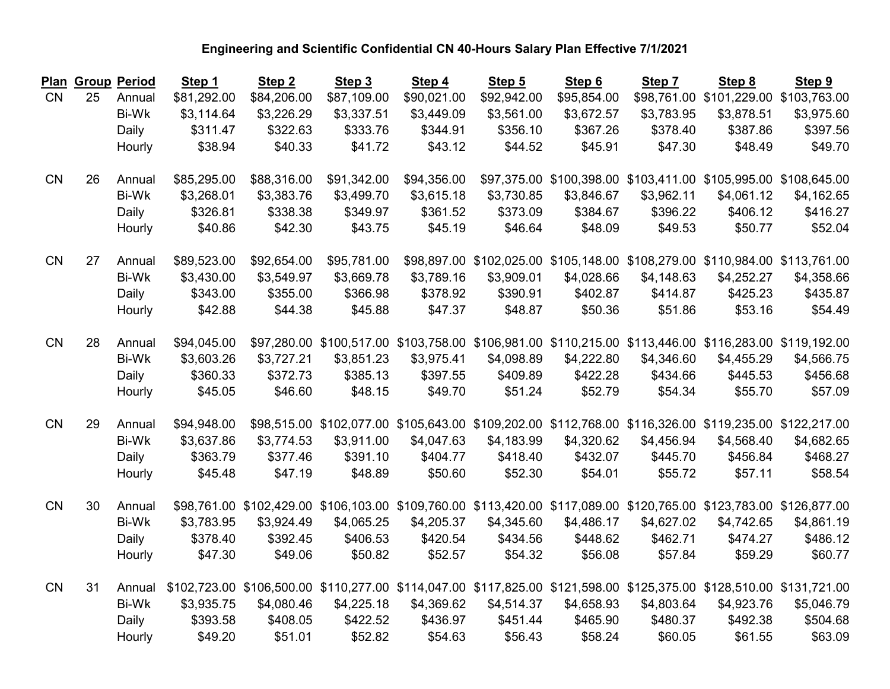| Plan      |    | <b>Group Period</b> | Step 1      | Step <sub>2</sub>                                                                                                    | Step 3      | Step 4      | Step 5                   | Step 6      | Step 7     | Step 8                                                                                                 | Step 9     |
|-----------|----|---------------------|-------------|----------------------------------------------------------------------------------------------------------------------|-------------|-------------|--------------------------|-------------|------------|--------------------------------------------------------------------------------------------------------|------------|
| <b>CN</b> | 25 | Annual              | \$81,292.00 | \$84,206.00                                                                                                          | \$87,109.00 | \$90,021.00 | \$92,942.00              | \$95,854.00 |            | \$98,761.00 \$101,229.00 \$103,763.00                                                                  |            |
|           |    | Bi-Wk               | \$3,114.64  | \$3,226.29                                                                                                           | \$3,337.51  | \$3,449.09  | \$3,561.00               | \$3,672.57  | \$3,783.95 | \$3,878.51                                                                                             | \$3,975.60 |
|           |    | Daily               | \$311.47    | \$322.63                                                                                                             | \$333.76    | \$344.91    | \$356.10                 | \$367.26    | \$378.40   | \$387.86                                                                                               | \$397.56   |
|           |    | Hourly              | \$38.94     | \$40.33                                                                                                              | \$41.72     | \$43.12     | \$44.52                  | \$45.91     | \$47.30    | \$48.49                                                                                                | \$49.70    |
| <b>CN</b> | 26 | Annual              | \$85,295.00 | \$88,316.00                                                                                                          | \$91,342.00 | \$94,356.00 |                          |             |            | \$97,375.00 \$100,398.00 \$103,411.00 \$105,995.00 \$108,645.00                                        |            |
|           |    | <b>Bi-Wk</b>        | \$3,268.01  | \$3,383.76                                                                                                           | \$3,499.70  | \$3,615.18  | \$3,730.85               | \$3,846.67  | \$3,962.11 | \$4,061.12                                                                                             | \$4,162.65 |
|           |    | Daily               | \$326.81    | \$338.38                                                                                                             | \$349.97    | \$361.52    | \$373.09                 | \$384.67    | \$396.22   | \$406.12                                                                                               | \$416.27   |
|           |    | Hourly              | \$40.86     | \$42.30                                                                                                              | \$43.75     | \$45.19     | \$46.64                  | \$48.09     | \$49.53    | \$50.77                                                                                                | \$52.04    |
| CN        | 27 | Annual              | \$89,523.00 | \$92,654.00                                                                                                          | \$95,781.00 |             | \$98,897.00 \$102,025.00 |             |            | \$105,148.00 \$108,279.00 \$110,984.00 \$113,761.00                                                    |            |
|           |    | <b>Bi-Wk</b>        | \$3,430.00  | \$3,549.97                                                                                                           | \$3,669.78  | \$3,789.16  | \$3,909.01               | \$4,028.66  | \$4,148.63 | \$4,252.27                                                                                             | \$4,358.66 |
|           |    | Daily               | \$343.00    | \$355.00                                                                                                             | \$366.98    | \$378.92    | \$390.91                 | \$402.87    | \$414.87   | \$425.23                                                                                               | \$435.87   |
|           |    | Hourly              | \$42.88     | \$44.38                                                                                                              | \$45.88     | \$47.37     | \$48.87                  | \$50.36     | \$51.86    | \$53.16                                                                                                | \$54.49    |
| CN        | 28 | Annual              | \$94,045.00 |                                                                                                                      |             |             |                          |             |            | \$97,280.00 \$100,517.00 \$103,758.00 \$106,981.00 \$110,215.00 \$113,446.00 \$116,283.00 \$119,192.00 |            |
|           |    | Bi-Wk               | \$3,603.26  | \$3,727.21                                                                                                           | \$3,851.23  | \$3,975.41  | \$4,098.89               | \$4,222.80  | \$4,346.60 | \$4,455.29                                                                                             | \$4,566.75 |
|           |    | Daily               | \$360.33    | \$372.73                                                                                                             | \$385.13    | \$397.55    | \$409.89                 | \$422.28    | \$434.66   | \$445.53                                                                                               | \$456.68   |
|           |    | Hourly              | \$45.05     | \$46.60                                                                                                              | \$48.15     | \$49.70     | \$51.24                  | \$52.79     | \$54.34    | \$55.70                                                                                                | \$57.09    |
| CN        | 29 | Annual              | \$94,948.00 |                                                                                                                      |             |             |                          |             |            | \$98,515.00 \$102,077.00 \$105,643.00 \$109,202.00 \$112,768.00 \$116,326.00 \$119,235.00 \$122,217.00 |            |
|           |    | <b>Bi-Wk</b>        | \$3,637.86  | \$3,774.53                                                                                                           | \$3,911.00  | \$4,047.63  | \$4,183.99               | \$4,320.62  | \$4,456.94 | \$4,568.40                                                                                             | \$4,682.65 |
|           |    | Daily               | \$363.79    | \$377.46                                                                                                             | \$391.10    | \$404.77    | \$418.40                 | \$432.07    | \$445.70   | \$456.84                                                                                               | \$468.27   |
|           |    | Hourly              | \$45.48     | \$47.19                                                                                                              | \$48.89     | \$50.60     | \$52.30                  | \$54.01     | \$55.72    | \$57.11                                                                                                | \$58.54    |
| CN        | 30 | Annual              |             | \$98,761.00 \$102,429.00 \$106,103.00 \$109,760.00 \$113,420.00 \$117,089.00 \$120,765.00 \$123,783.00 \$126,877.00  |             |             |                          |             |            |                                                                                                        |            |
|           |    | Bi-Wk               | \$3,783.95  | \$3,924.49                                                                                                           | \$4,065.25  | \$4,205.37  | \$4,345.60               | \$4,486.17  | \$4,627.02 | \$4,742.65                                                                                             | \$4,861.19 |
|           |    | Daily               | \$378.40    | \$392.45                                                                                                             | \$406.53    | \$420.54    | \$434.56                 | \$448.62    | \$462.71   | \$474.27                                                                                               | \$486.12   |
|           |    | Hourly              | \$47.30     | \$49.06                                                                                                              | \$50.82     | \$52.57     | \$54.32                  | \$56.08     | \$57.84    | \$59.29                                                                                                | \$60.77    |
| CN        | 31 | Annual              |             | \$102,723.00 \$106,500.00 \$110,277.00 \$114,047.00 \$117,825.00 \$121,598.00 \$125,375.00 \$128,510.00 \$131,721.00 |             |             |                          |             |            |                                                                                                        |            |
|           |    | Bi-Wk               | \$3,935.75  | \$4,080.46                                                                                                           | \$4,225.18  | \$4,369.62  | \$4,514.37               | \$4,658.93  | \$4,803.64 | \$4,923.76                                                                                             | \$5,046.79 |
|           |    | Daily               | \$393.58    | \$408.05                                                                                                             | \$422.52    | \$436.97    | \$451.44                 | \$465.90    | \$480.37   | \$492.38                                                                                               | \$504.68   |
|           |    | Hourly              | \$49.20     | \$51.01                                                                                                              | \$52.82     | \$54.63     | \$56.43                  | \$58.24     | \$60.05    | \$61.55                                                                                                | \$63.09    |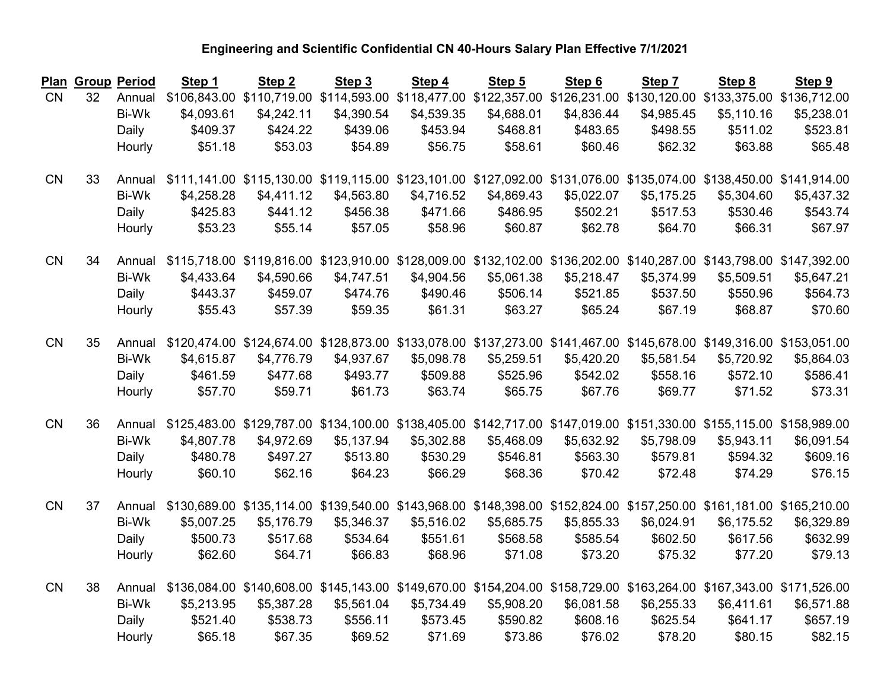| Plan      | <b>Group Period</b> |              | Step 1     | Step <sub>2</sub>                      | Step 3     | Step 4     | Step 5     | Step 6     | Step 7     | Step 8                                                                                                               | Step 9     |
|-----------|---------------------|--------------|------------|----------------------------------------|------------|------------|------------|------------|------------|----------------------------------------------------------------------------------------------------------------------|------------|
| <b>CN</b> | 32                  | Annual       |            | \$106,843.00 \$110,719.00 \$114,593.00 |            |            |            |            |            | \$118,477.00 \$122,357.00 \$126,231.00 \$130,120.00 \$133,375.00 \$136,712.00                                        |            |
|           |                     | <b>Bi-Wk</b> | \$4,093.61 | \$4,242.11                             | \$4,390.54 | \$4,539.35 | \$4,688.01 | \$4,836.44 | \$4,985.45 | \$5,110.16                                                                                                           | \$5,238.01 |
|           |                     | Daily        | \$409.37   | \$424.22                               | \$439.06   | \$453.94   | \$468.81   | \$483.65   | \$498.55   | \$511.02                                                                                                             | \$523.81   |
|           |                     | Hourly       | \$51.18    | \$53.03                                | \$54.89    | \$56.75    | \$58.61    | \$60.46    | \$62.32    | \$63.88                                                                                                              | \$65.48    |
| <b>CN</b> | 33                  | Annual       |            |                                        |            |            |            |            |            | \$111,141.00 \$115,130.00 \$119,115.00 \$123,101.00 \$127,092.00 \$131,076.00 \$135,074.00 \$138,450.00 \$141,914.00 |            |
|           |                     | <b>Bi-Wk</b> | \$4,258.28 | \$4,411.12                             | \$4,563.80 | \$4,716.52 | \$4,869.43 | \$5,022.07 | \$5,175.25 | \$5,304.60                                                                                                           | \$5,437.32 |
|           |                     | Daily        | \$425.83   | \$441.12                               | \$456.38   | \$471.66   | \$486.95   | \$502.21   | \$517.53   | \$530.46                                                                                                             | \$543.74   |
|           |                     | Hourly       | \$53.23    | \$55.14                                | \$57.05    | \$58.96    | \$60.87    | \$62.78    | \$64.70    | \$66.31                                                                                                              | \$67.97    |
| <b>CN</b> | 34                  | Annual       |            |                                        |            |            |            |            |            | \$115,718.00 \$119,816.00 \$123,910.00 \$128,009.00 \$132,102.00 \$136,202.00 \$140,287.00 \$143,798.00 \$147,392.00 |            |
|           |                     | <b>Bi-Wk</b> | \$4,433.64 | \$4,590.66                             | \$4,747.51 | \$4,904.56 | \$5,061.38 | \$5,218.47 | \$5,374.99 | \$5,509.51                                                                                                           | \$5,647.21 |
|           |                     | Daily        | \$443.37   | \$459.07                               | \$474.76   | \$490.46   | \$506.14   | \$521.85   | \$537.50   | \$550.96                                                                                                             | \$564.73   |
|           |                     | Hourly       | \$55.43    | \$57.39                                | \$59.35    | \$61.31    | \$63.27    | \$65.24    | \$67.19    | \$68.87                                                                                                              | \$70.60    |
| <b>CN</b> | 35                  | Annual       |            |                                        |            |            |            |            |            | \$120,474.00 \$124,674.00 \$128,873.00 \$133,078.00 \$137,273.00 \$141,467.00 \$145,678.00 \$149,316.00 \$153,051.00 |            |
|           |                     | Bi-Wk        | \$4,615.87 | \$4,776.79                             | \$4,937.67 | \$5,098.78 | \$5,259.51 | \$5,420.20 | \$5,581.54 | \$5,720.92                                                                                                           | \$5,864.03 |
|           |                     | Daily        | \$461.59   | \$477.68                               | \$493.77   | \$509.88   | \$525.96   | \$542.02   | \$558.16   | \$572.10                                                                                                             | \$586.41   |
|           |                     | Hourly       | \$57.70    | \$59.71                                | \$61.73    | \$63.74    | \$65.75    | \$67.76    | \$69.77    | \$71.52                                                                                                              | \$73.31    |
| CN        | 36                  | Annual       |            |                                        |            |            |            |            |            | \$125,483.00 \$129,787.00 \$134,100.00 \$138,405.00 \$142,717.00 \$147,019.00 \$151,330.00 \$155,115.00 \$158,989.00 |            |
|           |                     | <b>Bi-Wk</b> | \$4,807.78 | \$4,972.69                             | \$5,137.94 | \$5,302.88 | \$5,468.09 | \$5,632.92 | \$5,798.09 | \$5,943.11                                                                                                           | \$6,091.54 |
|           |                     | Daily        | \$480.78   | \$497.27                               | \$513.80   | \$530.29   | \$546.81   | \$563.30   | \$579.81   | \$594.32                                                                                                             | \$609.16   |
|           |                     | Hourly       | \$60.10    | \$62.16                                | \$64.23    | \$66.29    | \$68.36    | \$70.42    | \$72.48    | \$74.29                                                                                                              | \$76.15    |
| CN        | 37                  | Annual       |            |                                        |            |            |            |            |            | \$130,689.00 \$135,114.00 \$139,540.00 \$143,968.00 \$148,398.00 \$152,824.00 \$157,250.00 \$161,181.00 \$165,210.00 |            |
|           |                     | <b>Bi-Wk</b> | \$5,007.25 | \$5,176.79                             | \$5,346.37 | \$5,516.02 | \$5,685.75 | \$5,855.33 | \$6,024.91 | \$6,175.52                                                                                                           | \$6,329.89 |
|           |                     | Daily        | \$500.73   | \$517.68                               | \$534.64   | \$551.61   | \$568.58   | \$585.54   | \$602.50   | \$617.56                                                                                                             | \$632.99   |
|           |                     | Hourly       | \$62.60    | \$64.71                                | \$66.83    | \$68.96    | \$71.08    | \$73.20    | \$75.32    | \$77.20                                                                                                              | \$79.13    |
| CN        | 38                  | Annual       |            |                                        |            |            |            |            |            | \$136,084.00 \$140,608.00 \$145,143.00 \$149,670.00 \$154,204.00 \$158,729.00 \$163,264.00 \$167,343.00 \$171,526.00 |            |
|           |                     | Bi-Wk        | \$5,213.95 | \$5,387.28                             | \$5,561.04 | \$5,734.49 | \$5,908.20 | \$6,081.58 | \$6,255.33 | \$6,411.61                                                                                                           | \$6,571.88 |
|           |                     | Daily        | \$521.40   | \$538.73                               | \$556.11   | \$573.45   | \$590.82   | \$608.16   | \$625.54   | \$641.17                                                                                                             | \$657.19   |
|           |                     | Hourly       | \$65.18    | \$67.35                                | \$69.52    | \$71.69    | \$73.86    | \$76.02    | \$78.20    | \$80.15                                                                                                              | \$82.15    |